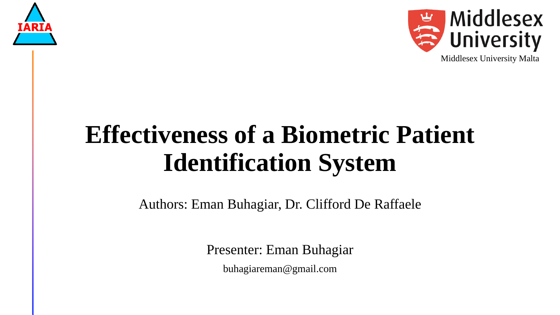



# **Effectiveness of a Biometric Patient Identification System**

Authors: Eman Buhagiar, Dr. Clifford De Raffaele

Presenter: Eman Buhagiar

buhagiareman@gmail.com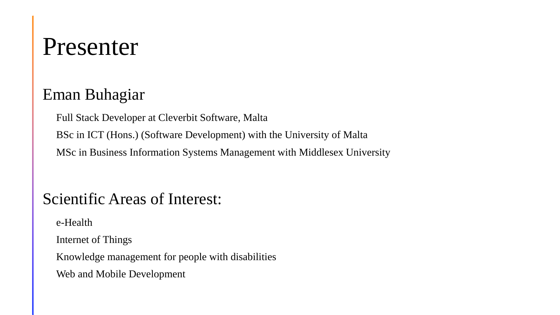### Presenter

### Eman Buhagiar

Full Stack Developer at Cleverbit Software, Malta

BSc in ICT (Hons.) (Software Development) with the University of Malta

MSc in Business Information Systems Management with Middlesex University

### Scientific Areas of Interest:

e-Health

Internet of Things

Knowledge management for people with disabilities

Web and Mobile Development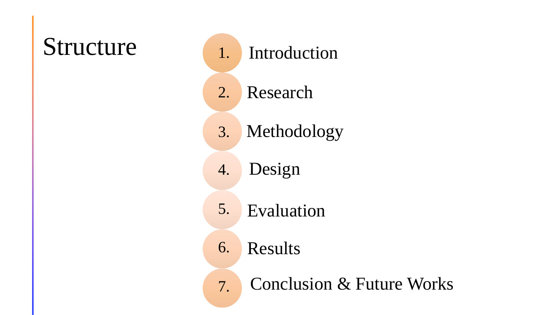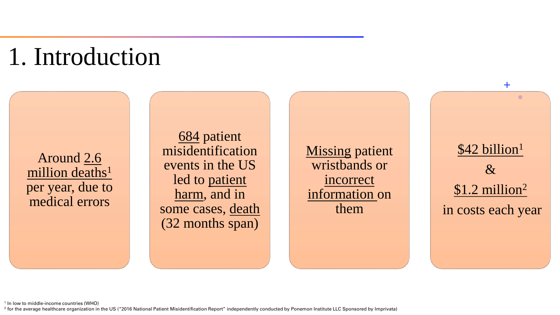## 1. Introduction

Around 2.6 million deaths<sup>1</sup> per year, due to medical errors

684 patient misidentification events in the US led to patient harm, and in some cases, death (32 months span)

**Missing patient** wristbands or incorrect information on them

\$42 billion<sup>1</sup> & \$1.2 million<sup>2</sup> in costs each year

 $+$ 

 $\bigcirc$ 

1 In low to middle-income countries (WHO)

<sup>2</sup> for the average healthcare organization in the US ("2016 National Patient Misidentification Report" independently conducted by Ponemon Institute LLC Sponsored by Imprivata)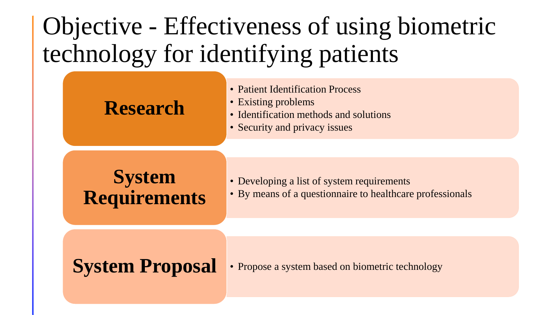## Objective - Effectiveness of using biometric technology for identifying patients

### **Research**

- Patient Identification Process
- Existing problems
- Identification methods and solutions
- Security and privacy issues

### **System Requirements**

- Developing a list of system requirements
- By means of a questionnaire to healthcare professionals

**System Proposal** • Propose a system based on biometric technology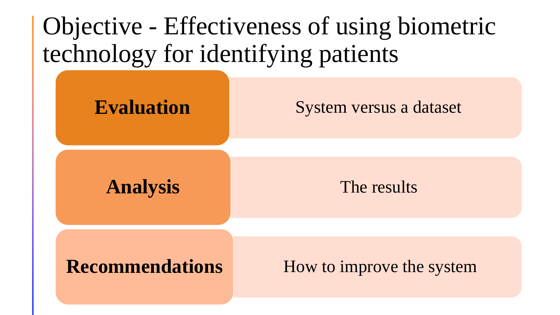

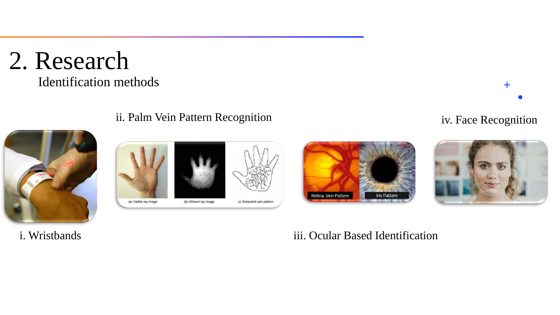### 2. Research Identification methods



#### ii. Palm Vein Pattern Recognition







iv. Face Recognition

 $+$ 

iii. Ocular Based Identification

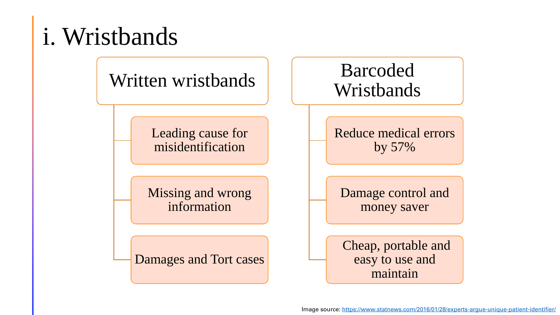# i. Wristbands

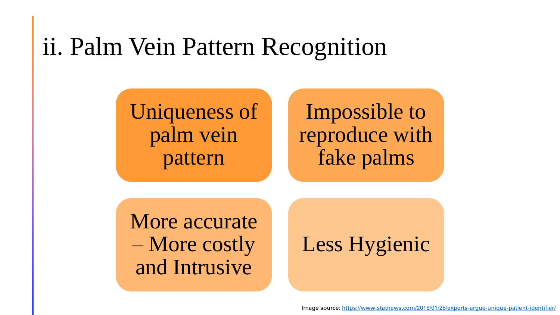### ii. Palm Vein Pattern Recognition

Uniqueness of palm vein pattern

Impossible to reproduce with fake palms

More accurate – More costly and Intrusive

Less Hygienic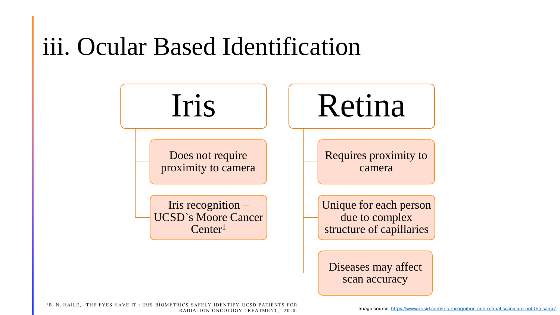### iii. Ocular Based Identification

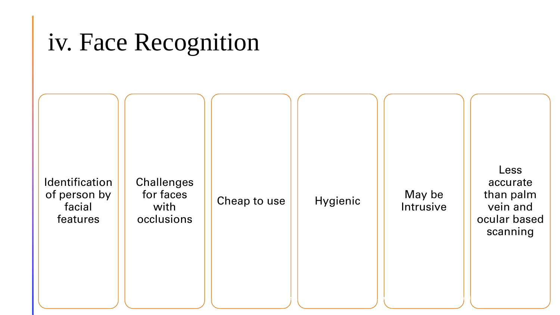## iv. Face Recognition

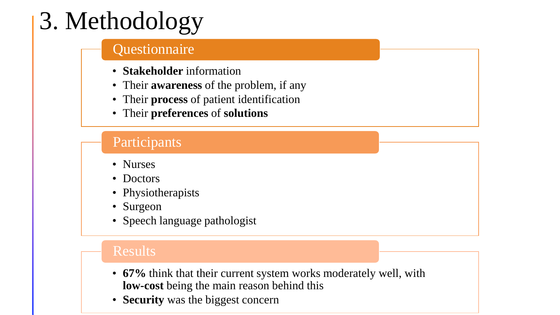# 3. Methodology

#### **Questionnaire**

- **Stakeholder** information
- Their **awareness** of the problem, if any
- Their **process** of patient identification
- Their **preferences** of **solutions**

### Participants

- Nurses
- Doctors
- Physiotherapists
- Surgeon
- Speech language pathologist

#### Results

- **67%** think that their current system works moderately well, with **low-cost** being the main reason behind this
- **Security** was the biggest concern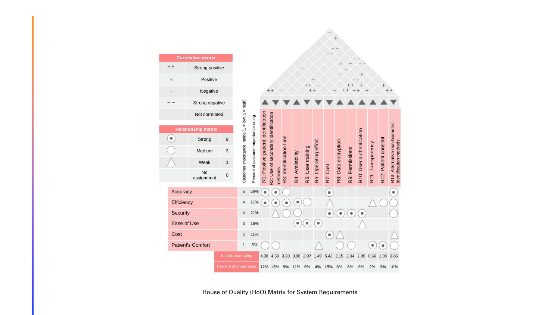| <b>Correlation matrix</b> |                     |                            |                       |                                                  |                                       |                                     |                                                |                         |                  |                   |                      |           |                     |                 |                          |                   |                      |                                                          |
|---------------------------|---------------------|----------------------------|-----------------------|--------------------------------------------------|---------------------------------------|-------------------------------------|------------------------------------------------|-------------------------|------------------|-------------------|----------------------|-----------|---------------------|-----------------|--------------------------|-------------------|----------------------|----------------------------------------------------------|
|                           | $++$                | Strong positive            |                       |                                                  |                                       |                                     |                                                |                         |                  |                   |                      |           |                     |                 |                          |                   |                      |                                                          |
|                           | $^{+}$              | Positive                   |                       |                                                  |                                       |                                     |                                                |                         |                  |                   |                      |           |                     |                 |                          |                   |                      |                                                          |
|                           |                     | Negative                   |                       |                                                  |                                       |                                     |                                                |                         |                  |                   |                      |           |                     |                 |                          |                   |                      |                                                          |
|                           |                     | Strong negative            |                       |                                                  |                                       |                                     |                                                |                         |                  |                   |                      |           |                     |                 |                          |                   |                      |                                                          |
|                           |                     | Not correlated             |                       |                                                  |                                       |                                     |                                                |                         |                  |                   |                      |           |                     |                 |                          |                   |                      |                                                          |
|                           |                     | <b>Relationship matrix</b> |                       |                                                  |                                       |                                     |                                                |                         |                  |                   |                      |           |                     |                 |                          |                   |                      |                                                          |
|                           | $\bullet$           | Strong                     | $\boldsymbol{9}$      |                                                  |                                       |                                     |                                                |                         |                  |                   |                      |           |                     |                 |                          |                   |                      |                                                          |
|                           |                     | Medium                     | 3                     |                                                  |                                       |                                     |                                                |                         |                  |                   |                      |           |                     |                 |                          |                   |                      |                                                          |
|                           |                     | Weak                       | $\mathbf{1}$          |                                                  |                                       |                                     |                                                |                         |                  |                   |                      |           |                     |                 |                          |                   |                      |                                                          |
|                           |                     | No<br>assignment           | $\mathbf 0$           | Customer importance rating $(1 = low, 5 = high)$ | Percent of customer importance rating | R1: Positive patient identification | R2: Use of secondary identification<br>methods | R3: Identification time | R4: Availability | R5: User training | R6: Operating effort | R7: Cost  | R8: Data encryption | R9: Permissions | R10: User authentication | R11: Transparency | R12: Patient consent | R13: Alternative non-biometric<br>identification methods |
|                           | Accuracy            |                            |                       | 5                                                | 26%                                   |                                     | $\bullet$                                      |                         |                  |                   |                      | $\bullet$ |                     |                 |                          |                   |                      | $\bullet$                                                |
|                           | Efficiency          |                            |                       | $\overline{4}$                                   | 21%                                   |                                     |                                                |                         | $\bullet$        |                   |                      |           |                     |                 |                          |                   |                      |                                                          |
|                           | <b>Security</b>     |                            |                       |                                                  | 21%                                   |                                     |                                                |                         |                  |                   |                      | $\bullet$ | $\bullet$           |                 | $\bullet$                |                   |                      |                                                          |
|                           | Ease of Use<br>Cost |                            | 3                     | 16%                                              |                                       |                                     |                                                | $\bullet$               | $\bullet$        | $\bullet$         |                      |           |                     |                 |                          |                   |                      |                                                          |
|                           |                     |                            | $\overline{2}$        | 11%                                              |                                       |                                     |                                                |                         |                  |                   | $\bullet$            |           |                     |                 |                          |                   |                      |                                                          |
|                           |                     | <b>Patient's Comfort</b>   |                       | $\mathbf{1}$                                     | 5%                                    |                                     |                                                |                         |                  |                   |                      |           |                     |                 |                          |                   |                      |                                                          |
|                           |                     |                            | Importance rating     |                                                  |                                       | 4.38                                | 4.59                                           | 3.30                    | 3.96             | 2.07              | 1.49                 | 5.43      | 2.15                | 2.04            | 2.05                     | 0.66              | 1.08                 | 3.86                                                     |
|                           |                     |                            | Percent of importance |                                                  |                                       |                                     | 12% 13%                                        | 9%                      | 11%              | 6%                | 4%                   | 15%       | 6%                  | 6%              | 6%                       | 2%                | 3%                   | 10%                                                      |

House of Quality (HoQ) Matrix for System Requirements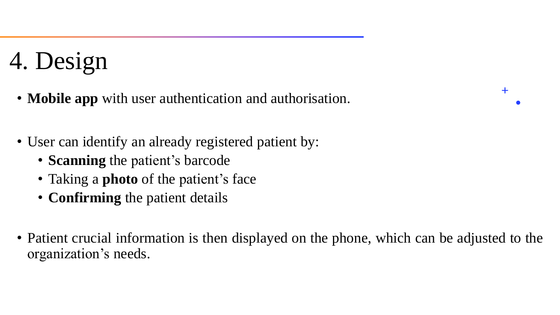# 4. Design

- **Mobile app** with user authentication and authorisation.
- User can identify an already registered patient by:
	- **Scanning** the patient's barcode
	- Taking a **photo** of the patient's face
	- **Confirming** the patient details
- Patient crucial information is then displayed on the phone, which can be adjusted to the organization's needs.

 $\bm{+}$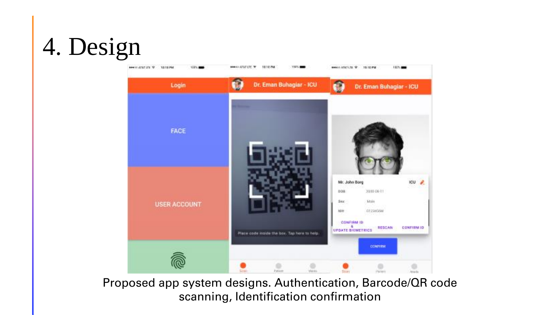# 4. Design



Proposed app system designs. Authentication, Barcode/QR code scanning, Identification confirmation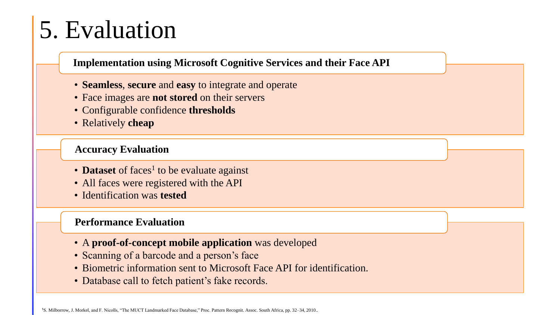# 5. Evaluation

**Implementation using Microsoft Cognitive Services and their Face API**

- **Seamless**, **secure** and **easy** to integrate and operate
- Face images are **not stored** on their servers
- Configurable confidence **thresholds**
- Relatively **cheap**

#### **Accuracy Evaluation**

- Dataset of faces<sup>1</sup> to be evaluate against
- All faces were registered with the API
- Identification was **tested**

#### **Performance Evaluation**

- A **proof-of-concept mobile application** was developed
- Scanning of a barcode and a person's face
- Biometric information sent to Microsoft Face API for identification.
- Database call to fetch patient's fake records.

1S. Milborrow, J. Morkel, and F. Nicolls, "The MUCT Landmarked Face Database," Proc. Pattern Recognit. Assoc. South Africa, pp. 32–34, 2010..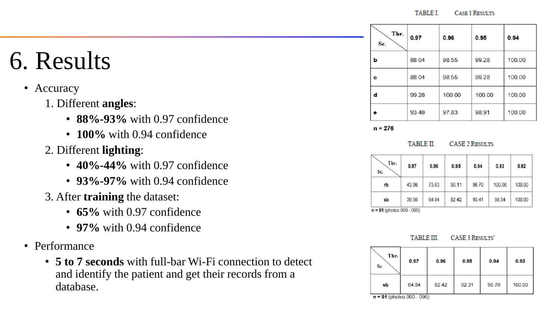**TABLE I** CASE 1 RESULTS

- Accuracy
	- 1. Different **angles**:
		- **88%-93%** with 0.97 confidence
		- **100%** with 0.94 confidence
	- 2. Different **lighting**:
		- **40%-44%** with 0.97 confidence
		- **93%-97%** with 0.94 confidence
	- 3. After **training** the dataset:
		- **65%** with 0.97 confidence
		- **97%** with 0.94 confidence
- Performance
	- **5 to 7 seconds** with full-bar Wi-Fi connection to detect and identify the patient and get their records from a database.

| Thr.<br>Se. | 0.97  | 0.96   | 0.95   | 0.94   |
|-------------|-------|--------|--------|--------|
| b           | 88.04 | 98.55  | 99.28  | 100.00 |
| c           | 88.04 | 98.55  | 99.28  | 100.00 |
| d           | 99.28 | 100.00 | 100.00 | 100.00 |
| ê           | 93.48 | 97.83  | 98.91  | 100.00 |

 $n = 276$ 

#### **TABLE II CASE 2 RESULTS**

| Thr.<br>Sc. | 0.97  | 0.96  | 0.95  | 0.94  | 0.93   | 0.92   |
|-------------|-------|-------|-------|-------|--------|--------|
| rb          | 43.96 | 73.63 | 90.11 | 96.70 | 100.00 | 100.00 |
| sb          | 39.56 | 64.84 | 82.42 | 93.41 | 98.54  | 100.00 |

 $n = 91$  (photos 000 - 090)



| Thr.<br>Sc                       | 0.97          | 0.96  | 0.95  | 0.94  | 0.93   |  |
|----------------------------------|---------------|-------|-------|-------|--------|--|
| sb<br>$a = 04$ (obotoo 000 $\pm$ | 64.84<br>nony | 82.42 | 92.31 | 96.70 | 100.00 |  |

n = 91 (photos UUU - U90)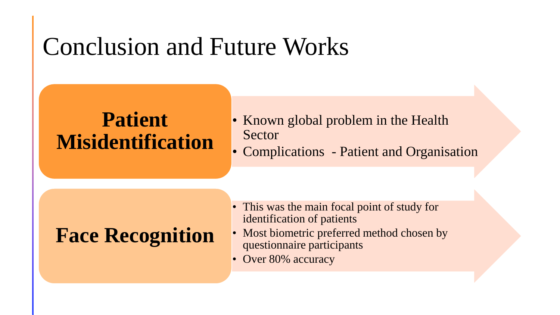### Conclusion and Future Works

### **Patient Misidentification**

- Known global problem in the Health **Sector**
- Complications Patient and Organisation

### **Face Recognition**

- This was the main focal point of study for identification of patients
- Most biometric preferred method chosen by questionnaire participants
- Over 80% accuracy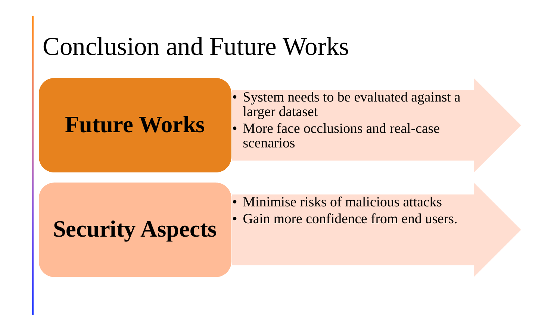### Conclusion and Future Works

### **Future Works**

- System needs to be evaluated against a larger dataset
- More face occlusions and real-case scenarios

# **Security Aspects Cain more confidence from end users.**

- Minimise risks of malicious attacks
-